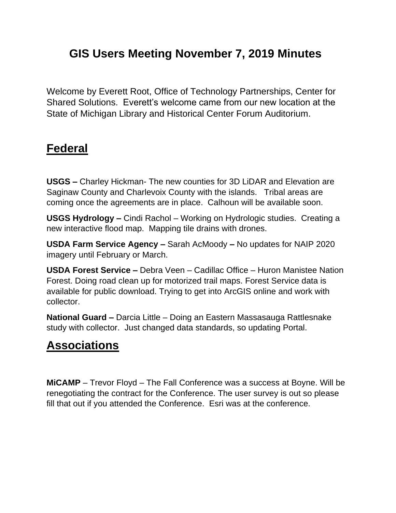# **GIS Users Meeting November 7, 2019 Minutes**

Welcome by Everett Root, Office of Technology Partnerships, Center for Shared Solutions. Everett's welcome came from our new location at the State of Michigan Library and Historical Center Forum Auditorium.

#### **Federal**

**USGS –** Charley Hickman- The new counties for 3D LiDAR and Elevation are Saginaw County and Charlevoix County with the islands. Tribal areas are coming once the agreements are in place. Calhoun will be available soon.

**USGS Hydrology –** Cindi Rachol – Working on Hydrologic studies. Creating a new interactive flood map. Mapping tile drains with drones.

**USDA Farm Service Agency –** Sarah AcMoody **–** No updates for NAIP 2020 imagery until February or March.

**USDA Forest Service –** Debra Veen – Cadillac Office – Huron Manistee Nation Forest. Doing road clean up for motorized trail maps. Forest Service data is available for public download. Trying to get into ArcGIS online and work with collector.

**National Guard –** Darcia Little – Doing an Eastern Massasauga Rattlesnake study with collector. Just changed data standards, so updating Portal.

### **Associations**

**MiCAMP** – Trevor Floyd – The Fall Conference was a success at Boyne. Will be renegotiating the contract for the Conference. The user survey is out so please fill that out if you attended the Conference. Esri was at the conference.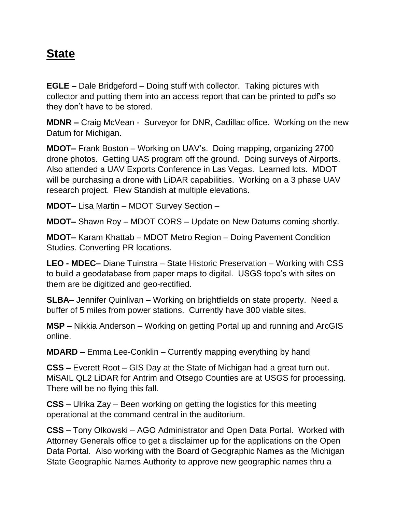### **State**

**EGLE –** Dale Bridgeford – Doing stuff with collector. Taking pictures with collector and putting them into an access report that can be printed to pdf's so they don't have to be stored.

**MDNR –** Craig McVean - Surveyor for DNR, Cadillac office. Working on the new Datum for Michigan.

**MDOT–** Frank Boston – Working on UAV's. Doing mapping, organizing 2700 drone photos. Getting UAS program off the ground. Doing surveys of Airports. Also attended a UAV Exports Conference in Las Vegas. Learned lots. MDOT will be purchasing a drone with LiDAR capabilities. Working on a 3 phase UAV research project. Flew Standish at multiple elevations.

**MDOT–** Lisa Martin – MDOT Survey Section –

**MDOT–** Shawn Roy – MDOT CORS – Update on New Datums coming shortly.

**MDOT–** Karam Khattab – MDOT Metro Region – Doing Pavement Condition Studies. Converting PR locations.

**LEO - MDEC–** Diane Tuinstra – State Historic Preservation – Working with CSS to build a geodatabase from paper maps to digital. USGS topo's with sites on them are be digitized and geo-rectified.

**SLBA–** Jennifer Quinlivan – Working on brightfields on state property. Need a buffer of 5 miles from power stations. Currently have 300 viable sites.

**MSP –** Nikkia Anderson – Working on getting Portal up and running and ArcGIS online.

**MDARD –** Emma Lee-Conklin – Currently mapping everything by hand

**CSS –** Everett Root – GIS Day at the State of Michigan had a great turn out. MiSAIL QL2 LiDAR for Antrim and Otsego Counties are at USGS for processing. There will be no flying this fall.

**CSS –** Ulrika Zay – Been working on getting the logistics for this meeting operational at the command central in the auditorium.

**CSS –** Tony Olkowski – AGO Administrator and Open Data Portal. Worked with Attorney Generals office to get a disclaimer up for the applications on the Open Data Portal. Also working with the Board of Geographic Names as the Michigan State Geographic Names Authority to approve new geographic names thru a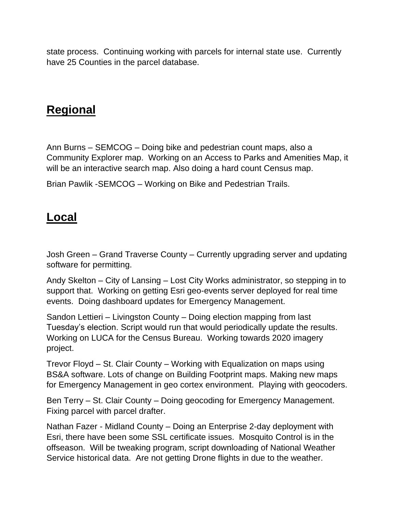state process. Continuing working with parcels for internal state use. Currently have 25 Counties in the parcel database.

### **Regional**

Ann Burns – SEMCOG – Doing bike and pedestrian count maps, also a Community Explorer map. Working on an Access to Parks and Amenities Map, it will be an interactive search map. Also doing a hard count Census map.

Brian Pawlik -SEMCOG – Working on Bike and Pedestrian Trails.

### **Local**

Josh Green – Grand Traverse County – Currently upgrading server and updating software for permitting.

Andy Skelton – City of Lansing – Lost City Works administrator, so stepping in to support that. Working on getting Esri geo-events server deployed for real time events. Doing dashboard updates for Emergency Management.

Sandon Lettieri – Livingston County – Doing election mapping from last Tuesday's election. Script would run that would periodically update the results. Working on LUCA for the Census Bureau. Working towards 2020 imagery project.

Trevor Floyd – St. Clair County – Working with Equalization on maps using BS&A software. Lots of change on Building Footprint maps. Making new maps for Emergency Management in geo cortex environment. Playing with geocoders.

Ben Terry – St. Clair County – Doing geocoding for Emergency Management. Fixing parcel with parcel drafter.

Nathan Fazer - Midland County – Doing an Enterprise 2-day deployment with Esri, there have been some SSL certificate issues. Mosquito Control is in the offseason. Will be tweaking program, script downloading of National Weather Service historical data. Are not getting Drone flights in due to the weather.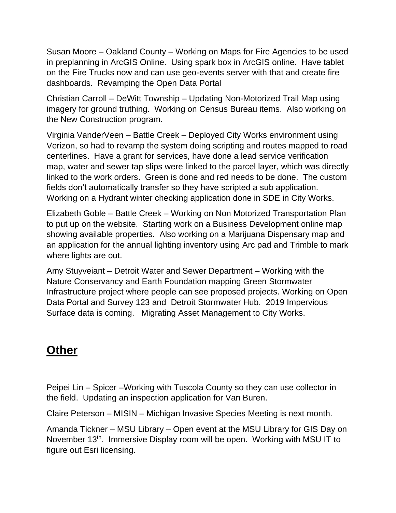Susan Moore – Oakland County – Working on Maps for Fire Agencies to be used in preplanning in ArcGIS Online. Using spark box in ArcGIS online. Have tablet on the Fire Trucks now and can use geo-events server with that and create fire dashboards. Revamping the Open Data Portal

Christian Carroll – DeWitt Township – Updating Non-Motorized Trail Map using imagery for ground truthing. Working on Census Bureau items. Also working on the New Construction program.

Virginia VanderVeen – Battle Creek – Deployed City Works environment using Verizon, so had to revamp the system doing scripting and routes mapped to road centerlines. Have a grant for services, have done a lead service verification map, water and sewer tap slips were linked to the parcel layer, which was directly linked to the work orders. Green is done and red needs to be done. The custom fields don't automatically transfer so they have scripted a sub application. Working on a Hydrant winter checking application done in SDE in City Works.

Elizabeth Goble – Battle Creek – Working on Non Motorized Transportation Plan to put up on the website. Starting work on a Business Development online map showing available properties. Also working on a Marijuana Dispensary map and an application for the annual lighting inventory using Arc pad and Trimble to mark where lights are out.

Amy Stuyveiant – Detroit Water and Sewer Department – Working with the Nature Conservancy and Earth Foundation mapping Green Stormwater Infrastructure project where people can see proposed projects. Working on Open Data Portal and Survey 123 and Detroit Stormwater Hub. 2019 Impervious Surface data is coming. Migrating Asset Management to City Works.

# **Other**

Peipei Lin – Spicer –Working with Tuscola County so they can use collector in the field. Updating an inspection application for Van Buren.

Claire Peterson – MISIN – Michigan Invasive Species Meeting is next month.

Amanda Tickner – MSU Library – Open event at the MSU Library for GIS Day on November 13<sup>th</sup>. Immersive Display room will be open. Working with MSU IT to figure out Esri licensing.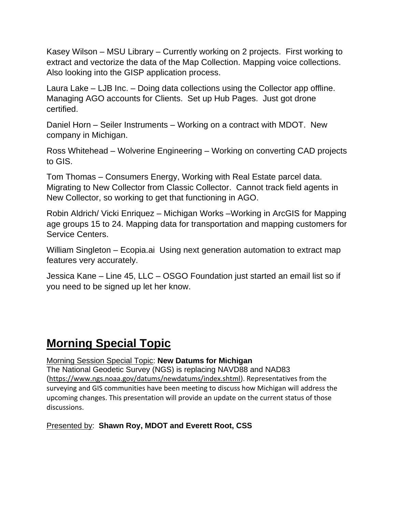Kasey Wilson – MSU Library – Currently working on 2 projects. First working to extract and vectorize the data of the Map Collection. Mapping voice collections. Also looking into the GISP application process.

Laura Lake – LJB Inc. – Doing data collections using the Collector app offline. Managing AGO accounts for Clients. Set up Hub Pages. Just got drone certified.

Daniel Horn – Seiler Instruments – Working on a contract with MDOT. New company in Michigan.

Ross Whitehead – Wolverine Engineering – Working on converting CAD projects to GIS.

Tom Thomas – Consumers Energy, Working with Real Estate parcel data. Migrating to New Collector from Classic Collector. Cannot track field agents in New Collector, so working to get that functioning in AGO.

Robin Aldrich/ Vicki Enriquez – Michigan Works –Working in ArcGIS for Mapping age groups 15 to 24. Mapping data for transportation and mapping customers for Service Centers.

William Singleton – Ecopia.ai Using next generation automation to extract map features very accurately.

Jessica Kane – Line 45, LLC – OSGO Foundation just started an email list so if you need to be signed up let her know.

### **Morning Special Topic**

Morning Session Special Topic: **New Datums for Michigan**

The National Geodetic Survey (NGS) is replacing NAVD88 and NAD83 ([https://www.ngs.noaa.gov/datums/newdatums/index.shtml\)](https://www.ngs.noaa.gov/datums/newdatums/index.shtml). Representatives from the surveying and GIS communities have been meeting to discuss how Michigan will address the upcoming changes. This presentation will provide an update on the current status of those discussions.

#### Presented by: **Shawn Roy, MDOT and Everett Root, CSS**